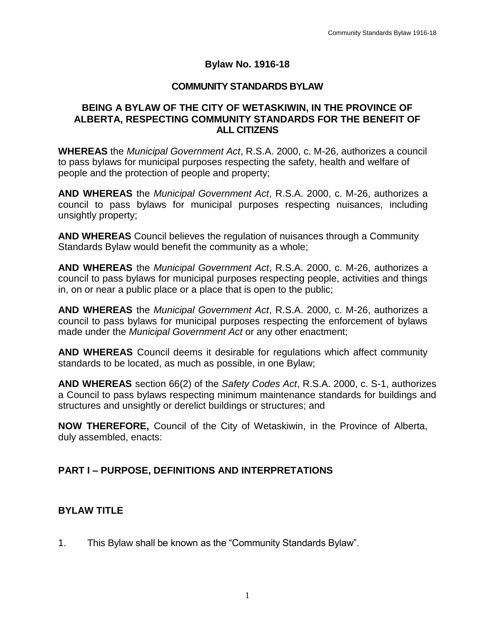#### **Bylaw No. 1916-18**

#### **COMMUNITY STANDARDS BYLAW**

#### **BEING A BYLAW OF THE CITY OF WETASKIWIN, IN THE PROVINCE OF ALBERTA, RESPECTING COMMUNITY STANDARDS FOR THE BENEFIT OF ALL CITIZENS**

**WHEREAS** the *Municipal Government Act*, R.S.A. 2000, c. M-26, authorizes a council to pass bylaws for municipal purposes respecting the safety, health and welfare of people and the protection of people and property;

**AND WHEREAS** the *Municipal Government Act*, R.S.A. 2000, c. M-26, authorizes a council to pass bylaws for municipal purposes respecting nuisances, including unsightly property;

**AND WHEREAS** Council believes the regulation of nuisances through a Community Standards Bylaw would benefit the community as a whole;

**AND WHEREAS** the *Municipal Government Act*, R.S.A. 2000, c. M-26, authorizes a council to pass bylaws for municipal purposes respecting people, activities and things in, on or near a public place or a place that is open to the public;

**AND WHEREAS** the *Municipal Government Act*, R.S.A. 2000, c. M-26, authorizes a council to pass bylaws for municipal purposes respecting the enforcement of bylaws made under the *Municipal Government Act* or any other enactment;

**AND WHEREAS** Council deems it desirable for regulations which affect community standards to be located, as much as possible, in one Bylaw;

**AND WHEREAS** section 66(2) of the *Safety Codes Act*, R.S.A. 2000, c. S-1, authorizes a Council to pass bylaws respecting minimum maintenance standards for buildings and structures and unsightly or derelict buildings or structures; and

**NOW THEREFORE,** Council of the City of Wetaskiwin, in the Province of Alberta, duly assembled, enacts:

## **PART I – PURPOSE, DEFINITIONS AND INTERPRETATIONS**

## **BYLAW TITLE**

1. This Bylaw shall be known as the "Community Standards Bylaw".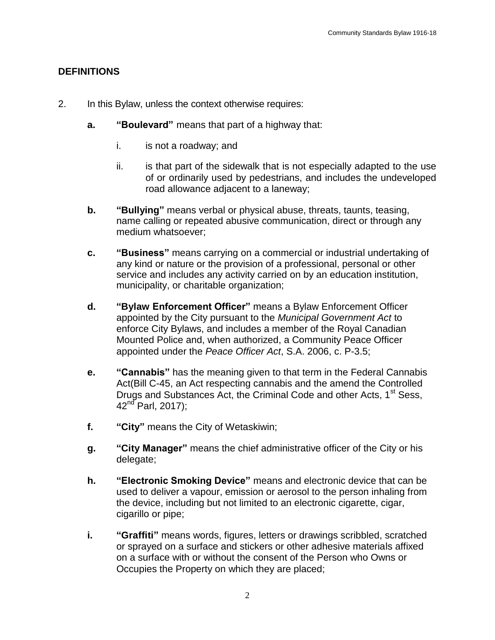### **DEFINITIONS**

- 2. In this Bylaw, unless the context otherwise requires:
	- **a. "Boulevard"** means that part of a highway that:
		- i. is not a roadway; and
		- ii. is that part of the sidewalk that is not especially adapted to the use of or ordinarily used by pedestrians, and includes the undeveloped road allowance adjacent to a laneway;
	- **b. "Bullying"** means verbal or physical abuse, threats, taunts, teasing, name calling or repeated abusive communication, direct or through any medium whatsoever;
	- **c. "Business"** means carrying on a commercial or industrial undertaking of any kind or nature or the provision of a professional, personal or other service and includes any activity carried on by an education institution, municipality, or charitable organization;
	- **d. "Bylaw Enforcement Officer"** means a Bylaw Enforcement Officer appointed by the City pursuant to the *Municipal Government Act* to enforce City Bylaws, and includes a member of the Royal Canadian Mounted Police and, when authorized, a Community Peace Officer appointed under the *Peace Officer Act*, S.A. 2006, c. P-3.5;
	- **e. "Cannabis"** has the meaning given to that term in the Federal Cannabis Act(Bill C-45, an Act respecting cannabis and the amend the Controlled Drugs and Substances Act, the Criminal Code and other Acts, 1<sup>st</sup> Sess,  $42^{nd}$  Parl, 2017);
	- **f. "City"** means the City of Wetaskiwin;
	- **g. "City Manager"** means the chief administrative officer of the City or his delegate;
	- **h. "Electronic Smoking Device"** means and electronic device that can be used to deliver a vapour, emission or aerosol to the person inhaling from the device, including but not limited to an electronic cigarette, cigar, cigarillo or pipe;
	- **i. "Graffiti"** means words, figures, letters or drawings scribbled, scratched or sprayed on a surface and stickers or other adhesive materials affixed on a surface with or without the consent of the Person who Owns or Occupies the Property on which they are placed;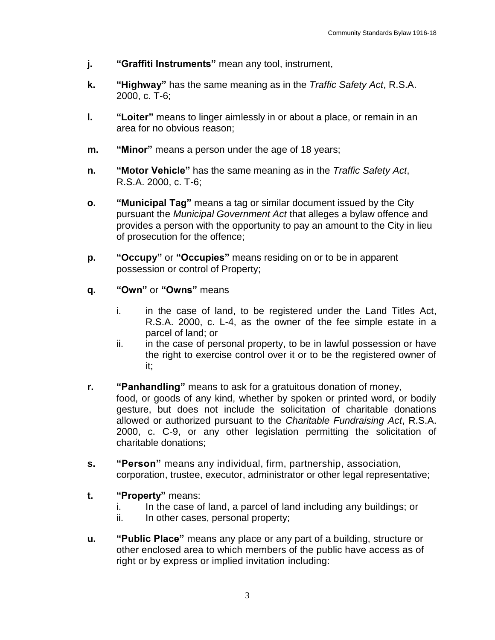- **j. "Graffiti Instruments"** mean any tool, instrument,
- **k. "Highway"** has the same meaning as in the *Traffic Safety Act*, R.S.A. 2000, c. T-6;
- **l. "Loiter"** means to linger aimlessly in or about a place, or remain in an area for no obvious reason;
- **m. "Minor"** means a person under the age of 18 years;
- **n. "Motor Vehicle"** has the same meaning as in the *Traffic Safety Act*, R.S.A. 2000, c. T-6;
- **o. "Municipal Tag"** means a tag or similar document issued by the City pursuant the *Municipal Government Act* that alleges a bylaw offence and provides a person with the opportunity to pay an amount to the City in lieu of prosecution for the offence;
- **p. "Occupy"** or **"Occupies"** means residing on or to be in apparent possession or control of Property;
- **q. "Own"** or **"Owns"** means
	- i. in the case of land, to be registered under the Land Titles Act, R.S.A. 2000, c. L-4, as the owner of the fee simple estate in a parcel of land; or
	- ii. in the case of personal property, to be in lawful possession or have the right to exercise control over it or to be the registered owner of it;
- **r. "Panhandling"** means to ask for a gratuitous donation of money,
	- food, or goods of any kind, whether by spoken or printed word, or bodily gesture, but does not include the solicitation of charitable donations allowed or authorized pursuant to the *Charitable Fundraising Act*, R.S.A. 2000, c. C-9, or any other legislation permitting the solicitation of charitable donations;
- **s. "Person"** means any individual, firm, partnership, association, corporation, trustee, executor, administrator or other legal representative;
- **t. "Property"** means:
	- i. In the case of land, a parcel of land including any buildings; or
	- ii. In other cases, personal property;
- **u. "Public Place"** means any place or any part of a building, structure or other enclosed area to which members of the public have access as of right or by express or implied invitation including: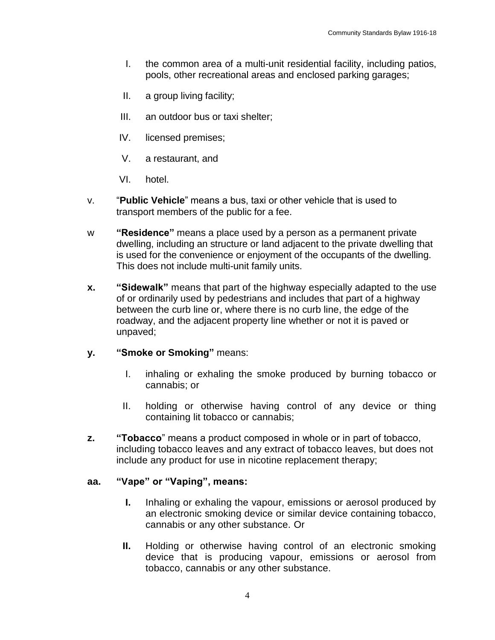- I. the common area of a multi-unit residential facility, including patios, pools, other recreational areas and enclosed parking garages;
- II. a group living facility;
- III. an outdoor bus or taxi shelter;
- IV. licensed premises;
- V. a restaurant, and
- VI. hotel.
- v. "**Public Vehicle**" means a bus, taxi or other vehicle that is used to transport members of the public for a fee.
- w **"Residence"** means a place used by a person as a permanent private dwelling, including an structure or land adjacent to the private dwelling that is used for the convenience or enjoyment of the occupants of the dwelling. This does not include multi-unit family units.
- **x. "Sidewalk"** means that part of the highway especially adapted to the use of or ordinarily used by pedestrians and includes that part of a highway between the curb line or, where there is no curb line, the edge of the roadway, and the adjacent property line whether or not it is paved or unpaved;

#### **y. "Smoke or Smoking"** means:

- I. inhaling or exhaling the smoke produced by burning tobacco or cannabis; or
- II. holding or otherwise having control of any device or thing containing lit tobacco or cannabis;
- **z. "Tobacco**" means a product composed in whole or in part of tobacco, including tobacco leaves and any extract of tobacco leaves, but does not include any product for use in nicotine replacement therapy;

#### **aa. "Vape" or "Vaping", means:**

- **I.** Inhaling or exhaling the vapour, emissions or aerosol produced by an electronic smoking device or similar device containing tobacco, cannabis or any other substance. Or
- **II.** Holding or otherwise having control of an electronic smoking device that is producing vapour, emissions or aerosol from tobacco, cannabis or any other substance.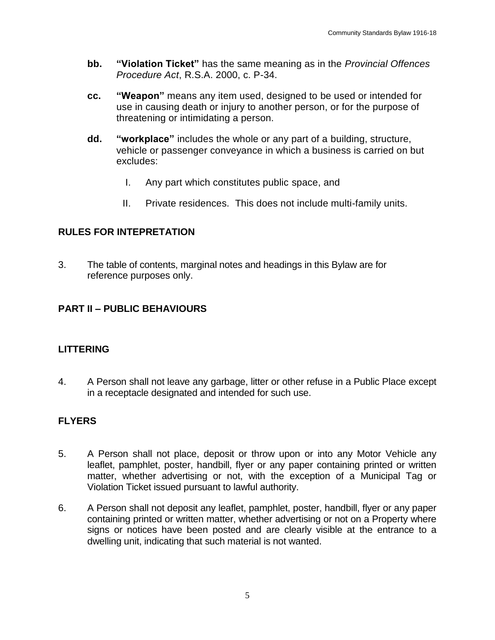- **bb. "Violation Ticket"** has the same meaning as in the *Provincial Offences Procedure Act*, R.S.A. 2000, c. P-34.
- **cc. "Weapon"** means any item used, designed to be used or intended for use in causing death or injury to another person, or for the purpose of threatening or intimidating a person.
- **dd. "workplace"** includes the whole or any part of a building, structure, vehicle or passenger conveyance in which a business is carried on but excludes:
	- I. Any part which constitutes public space, and
	- II. Private residences. This does not include multi-family units.

## **RULES FOR INTEPRETATION**

3. The table of contents, marginal notes and headings in this Bylaw are for reference purposes only.

# **PART II – PUBLIC BEHAVIOURS**

#### **LITTERING**

4. A Person shall not leave any garbage, litter or other refuse in a Public Place except in a receptacle designated and intended for such use.

## **FLYERS**

- 5. A Person shall not place, deposit or throw upon or into any Motor Vehicle any leaflet, pamphlet, poster, handbill, flyer or any paper containing printed or written matter, whether advertising or not, with the exception of a Municipal Tag or Violation Ticket issued pursuant to lawful authority.
- 6. A Person shall not deposit any leaflet, pamphlet, poster, handbill, flyer or any paper containing printed or written matter, whether advertising or not on a Property where signs or notices have been posted and are clearly visible at the entrance to a dwelling unit, indicating that such material is not wanted.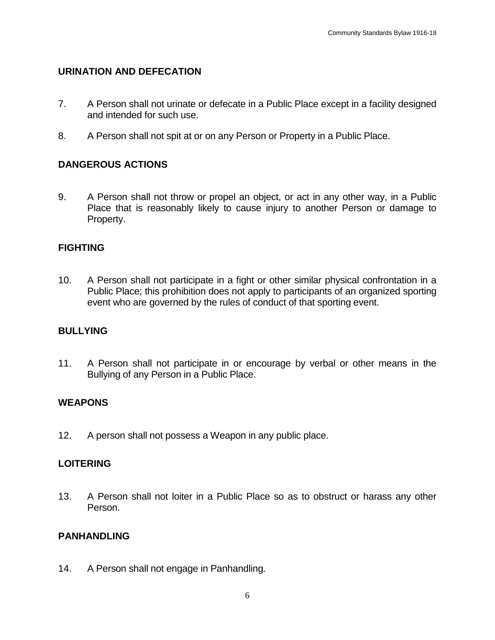#### **URINATION AND DEFECATION**

- 7. A Person shall not urinate or defecate in a Public Place except in a facility designed and intended for such use.
- 8. A Person shall not spit at or on any Person or Property in a Public Place.

### **DANGEROUS ACTIONS**

9. A Person shall not throw or propel an object, or act in any other way, in a Public Place that is reasonably likely to cause injury to another Person or damage to Property.

### **FIGHTING**

10. A Person shall not participate in a fight or other similar physical confrontation in a Public Place; this prohibition does not apply to participants of an organized sporting event who are governed by the rules of conduct of that sporting event.

#### **BULLYING**

11. A Person shall not participate in or encourage by verbal or other means in the Bullying of any Person in a Public Place.

#### **WEAPONS**

12. A person shall not possess a Weapon in any public place.

#### **LOITERING**

13. A Person shall not loiter in a Public Place so as to obstruct or harass any other Person.

#### **PANHANDLING**

14. A Person shall not engage in Panhandling.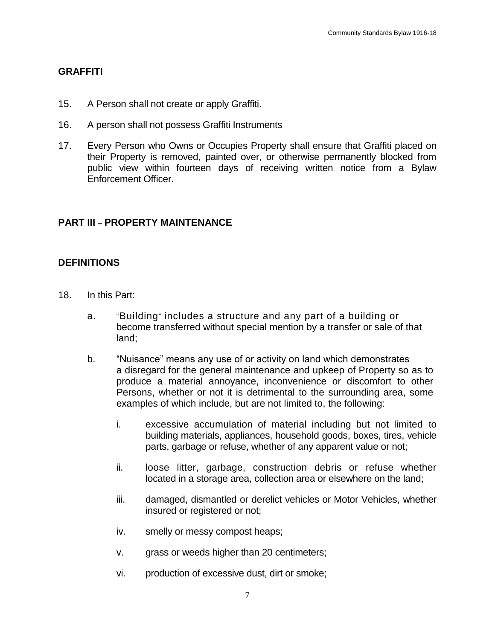#### **GRAFFITI**

- 15. A Person shall not create or apply Graffiti.
- 16. A person shall not possess Graffiti Instruments
- 17. Every Person who Owns or Occupies Property shall ensure that Graffiti placed on their Property is removed, painted over, or otherwise permanently blocked from public view within fourteen days of receiving written notice from a Bylaw Enforcement Officer.

### **PART III – PROPERTY MAINTENANCE**

#### **DEFINITIONS**

- 18. In this Part:
	- a. "Building" includes a structure and any part of a building or become transferred without special mention by a transfer or sale of that land;
	- b. "Nuisance" means any use of or activity on land which demonstrates a disregard for the general maintenance and upkeep of Property so as to produce a material annoyance, inconvenience or discomfort to other Persons, whether or not it is detrimental to the surrounding area, some examples of which include, but are not limited to, the following:
		- i. excessive accumulation of material including but not limited to building materials, appliances, household goods, boxes, tires, vehicle parts, garbage or refuse, whether of any apparent value or not;
		- ii. loose litter, garbage, construction debris or refuse whether located in a storage area, collection area or elsewhere on the land;
		- iii. damaged, dismantled or derelict vehicles or Motor Vehicles, whether insured or registered or not;
		- iv. smelly or messy compost heaps;
		- v. grass or weeds higher than 20 centimeters;
		- vi. production of excessive dust, dirt or smoke;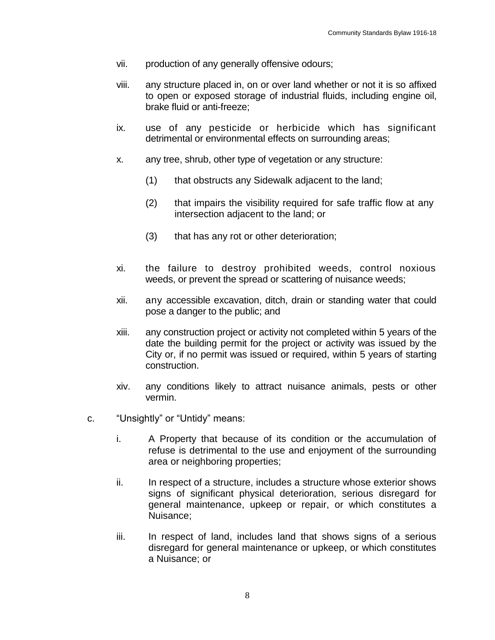- vii. production of any generally offensive odours;
- viii. any structure placed in, on or over land whether or not it is so affixed to open or exposed storage of industrial fluids, including engine oil, brake fluid or anti-freeze;
- ix. use of any pesticide or herbicide which has significant detrimental or environmental effects on surrounding areas;
- x. any tree, shrub, other type of vegetation or any structure:
	- (1) that obstructs any Sidewalk adjacent to the land;
	- (2) that impairs the visibility required for safe traffic flow at any intersection adjacent to the land; or
	- (3) that has any rot or other deterioration;
- xi. the failure to destroy prohibited weeds, control noxious weeds, or prevent the spread or scattering of nuisance weeds;
- xii. any accessible excavation, ditch, drain or standing water that could pose a danger to the public; and
- xiii. any construction project or activity not completed within 5 years of the date the building permit for the project or activity was issued by the City or, if no permit was issued or required, within 5 years of starting construction.
- xiv. any conditions likely to attract nuisance animals, pests or other vermin.
- c. "Unsightly" or "Untidy" means:
	- i. A Property that because of its condition or the accumulation of refuse is detrimental to the use and enjoyment of the surrounding area or neighboring properties;
	- ii. In respect of a structure, includes a structure whose exterior shows signs of significant physical deterioration, serious disregard for general maintenance, upkeep or repair, or which constitutes a Nuisance;
	- iii. In respect of land, includes land that shows signs of a serious disregard for general maintenance or upkeep, or which constitutes a Nuisance; or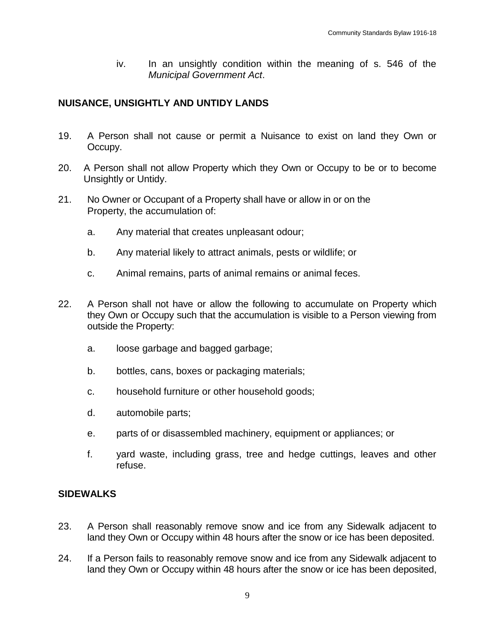iv. In an unsightly condition within the meaning of s. 546 of the *Municipal Government Act*.

### **NUISANCE, UNSIGHTLY AND UNTIDY LANDS**

- 19. A Person shall not cause or permit a Nuisance to exist on land they Own or Occupy.
- 20. A Person shall not allow Property which they Own or Occupy to be or to become Unsightly or Untidy.
- 21. No Owner or Occupant of a Property shall have or allow in or on the Property, the accumulation of:
	- a. Any material that creates unpleasant odour;
	- b. Any material likely to attract animals, pests or wildlife; or
	- c. Animal remains, parts of animal remains or animal feces.
- 22. A Person shall not have or allow the following to accumulate on Property which they Own or Occupy such that the accumulation is visible to a Person viewing from outside the Property:
	- a. loose garbage and bagged garbage;
	- b. bottles, cans, boxes or packaging materials;
	- c. household furniture or other household goods;
	- d. automobile parts;
	- e. parts of or disassembled machinery, equipment or appliances; or
	- f. yard waste, including grass, tree and hedge cuttings, leaves and other refuse.

#### **SIDEWALKS**

- 23. A Person shall reasonably remove snow and ice from any Sidewalk adjacent to land they Own or Occupy within 48 hours after the snow or ice has been deposited.
- 24. If a Person fails to reasonably remove snow and ice from any Sidewalk adjacent to land they Own or Occupy within 48 hours after the snow or ice has been deposited,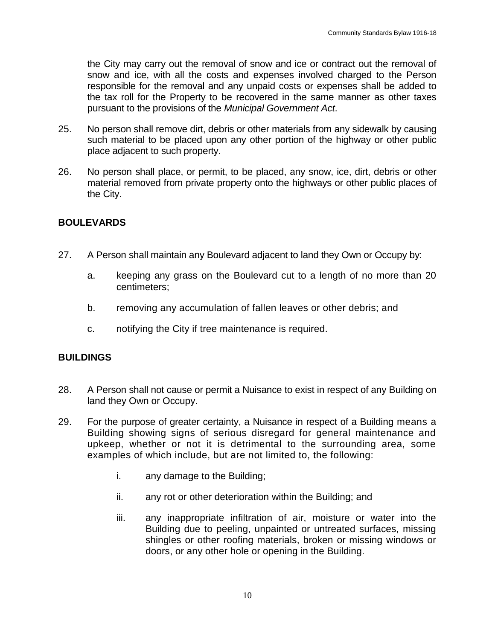the City may carry out the removal of snow and ice or contract out the removal of snow and ice, with all the costs and expenses involved charged to the Person responsible for the removal and any unpaid costs or expenses shall be added to the tax roll for the Property to be recovered in the same manner as other taxes pursuant to the provisions of the *Municipal Government Act*.

- 25. No person shall remove dirt, debris or other materials from any sidewalk by causing such material to be placed upon any other portion of the highway or other public place adjacent to such property.
- 26. No person shall place, or permit, to be placed, any snow, ice, dirt, debris or other material removed from private property onto the highways or other public places of the City.

#### **BOULEVARDS**

- 27. A Person shall maintain any Boulevard adjacent to land they Own or Occupy by:
	- a. keeping any grass on the Boulevard cut to a length of no more than 20 centimeters;
	- b. removing any accumulation of fallen leaves or other debris; and
	- c. notifying the City if tree maintenance is required.

#### **BUILDINGS**

- 28. A Person shall not cause or permit a Nuisance to exist in respect of any Building on land they Own or Occupy.
- 29. For the purpose of greater certainty, a Nuisance in respect of a Building means a Building showing signs of serious disregard for general maintenance and upkeep, whether or not it is detrimental to the surrounding area, some examples of which include, but are not limited to, the following:
	- i. any damage to the Building;
	- ii. any rot or other deterioration within the Building; and
	- iii. any inappropriate infiltration of air, moisture or water into the Building due to peeling, unpainted or untreated surfaces, missing shingles or other roofing materials, broken or missing windows or doors, or any other hole or opening in the Building.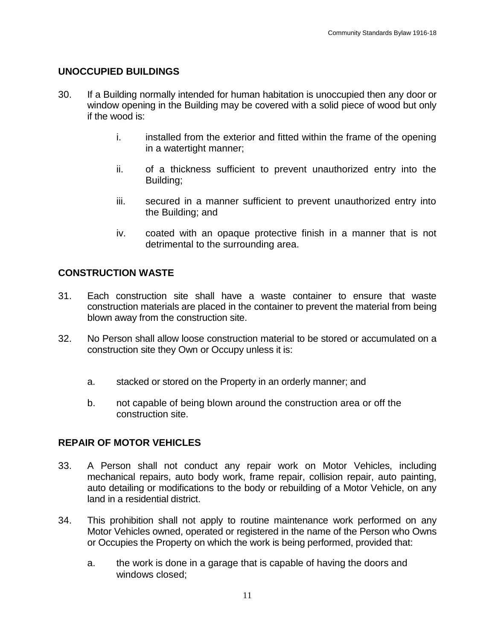## **UNOCCUPIED BUILDINGS**

- 30. If a Building normally intended for human habitation is unoccupied then any door or window opening in the Building may be covered with a solid piece of wood but only if the wood is:
	- i. installed from the exterior and fitted within the frame of the opening in a watertight manner;
	- ii. of a thickness sufficient to prevent unauthorized entry into the Building;
	- iii. secured in a manner sufficient to prevent unauthorized entry into the Building; and
	- iv. coated with an opaque protective finish in a manner that is not detrimental to the surrounding area.

# **CONSTRUCTION WASTE**

- 31. Each construction site shall have a waste container to ensure that waste construction materials are placed in the container to prevent the material from being blown away from the construction site.
- 32. No Person shall allow loose construction material to be stored or accumulated on a construction site they Own or Occupy unless it is:
	- a. stacked or stored on the Property in an orderly manner; and
	- b. not capable of being blown around the construction area or off the construction site.

## **REPAIR OF MOTOR VEHICLES**

- 33. A Person shall not conduct any repair work on Motor Vehicles, including mechanical repairs, auto body work, frame repair, collision repair, auto painting, auto detailing or modifications to the body or rebuilding of a Motor Vehicle, on any land in a residential district.
- 34. This prohibition shall not apply to routine maintenance work performed on any Motor Vehicles owned, operated or registered in the name of the Person who Owns or Occupies the Property on which the work is being performed, provided that:
	- a. the work is done in a garage that is capable of having the doors and windows closed;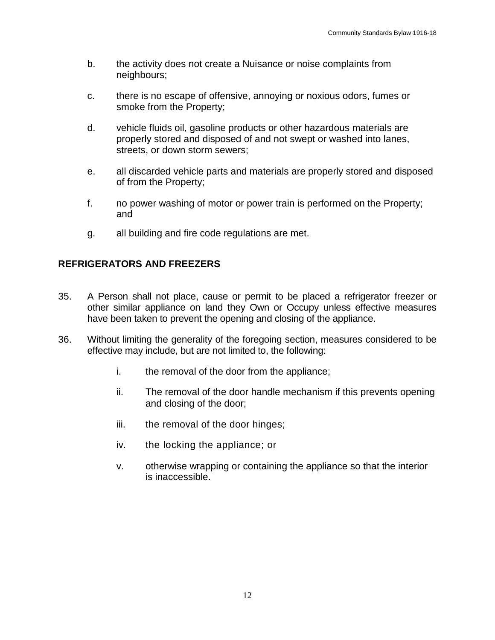- b. the activity does not create a Nuisance or noise complaints from neighbours;
- c. there is no escape of offensive, annoying or noxious odors, fumes or smoke from the Property;
- d. vehicle fluids oil, gasoline products or other hazardous materials are properly stored and disposed of and not swept or washed into lanes, streets, or down storm sewers;
- e. all discarded vehicle parts and materials are properly stored and disposed of from the Property;
- f. no power washing of motor or power train is performed on the Property; and
- g. all building and fire code regulations are met.

## **REFRIGERATORS AND FREEZERS**

- 35. A Person shall not place, cause or permit to be placed a refrigerator freezer or other similar appliance on land they Own or Occupy unless effective measures have been taken to prevent the opening and closing of the appliance.
- 36. Without limiting the generality of the foregoing section, measures considered to be effective may include, but are not limited to, the following:
	- i. the removal of the door from the appliance;
	- ii. The removal of the door handle mechanism if this prevents opening and closing of the door;
	- iii. the removal of the door hinges;
	- iv. the locking the appliance; or
	- v. otherwise wrapping or containing the appliance so that the interior is inaccessible.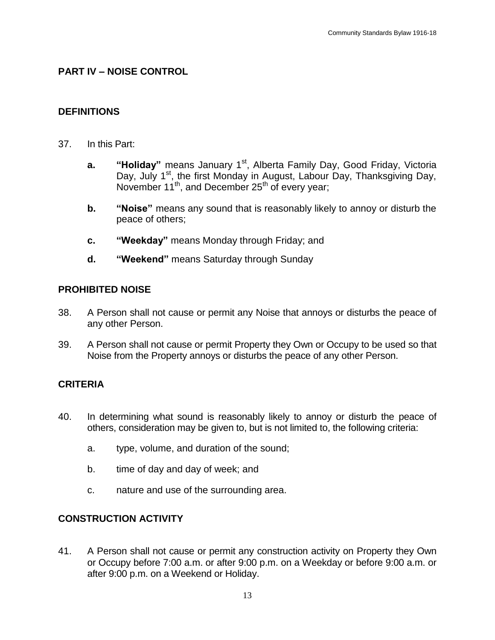## **PART IV – NOISE CONTROL**

#### **DEFINITIONS**

- 37. In this Part:
	- **a. "Holiday"** means January 1<sup>st</sup>, Alberta Family Day, Good Friday, Victoria Day, July  $1<sup>st</sup>$ , the first Monday in August, Labour Day, Thanksgiving Day, November 11<sup>th</sup>, and December 25<sup>th</sup> of every year;
	- **b. "Noise"** means any sound that is reasonably likely to annoy or disturb the peace of others;
	- **c. "Weekday"** means Monday through Friday; and
	- **d. "Weekend"** means Saturday through Sunday

#### **PROHIBITED NOISE**

- 38. A Person shall not cause or permit any Noise that annoys or disturbs the peace of any other Person.
- 39. A Person shall not cause or permit Property they Own or Occupy to be used so that Noise from the Property annoys or disturbs the peace of any other Person.

#### **CRITERIA**

- 40. In determining what sound is reasonably likely to annoy or disturb the peace of others, consideration may be given to, but is not limited to, the following criteria:
	- a. type, volume, and duration of the sound;
	- b. time of day and day of week; and
	- c. nature and use of the surrounding area.

#### **CONSTRUCTION ACTIVITY**

41. A Person shall not cause or permit any construction activity on Property they Own or Occupy before 7:00 a.m. or after 9:00 p.m. on a Weekday or before 9:00 a.m. or after 9:00 p.m. on a Weekend or Holiday.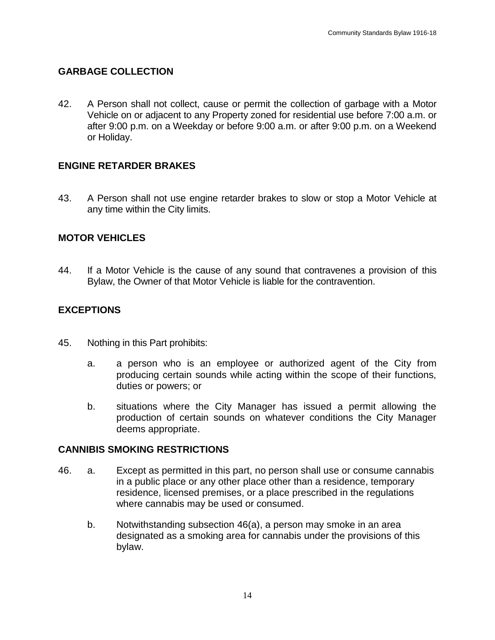### **GARBAGE COLLECTION**

42. A Person shall not collect, cause or permit the collection of garbage with a Motor Vehicle on or adjacent to any Property zoned for residential use before 7:00 a.m. or after 9:00 p.m. on a Weekday or before 9:00 a.m. or after 9:00 p.m. on a Weekend or Holiday.

#### **ENGINE RETARDER BRAKES**

43. A Person shall not use engine retarder brakes to slow or stop a Motor Vehicle at any time within the City limits.

#### **MOTOR VEHICLES**

44. If a Motor Vehicle is the cause of any sound that contravenes a provision of this Bylaw, the Owner of that Motor Vehicle is liable for the contravention.

#### **EXCEPTIONS**

- 45. Nothing in this Part prohibits:
	- a. a person who is an employee or authorized agent of the City from producing certain sounds while acting within the scope of their functions, duties or powers; or
	- b. situations where the City Manager has issued a permit allowing the production of certain sounds on whatever conditions the City Manager deems appropriate.

#### **CANNIBIS SMOKING RESTRICTIONS**

- 46. a. Except as permitted in this part, no person shall use or consume cannabis in a public place or any other place other than a residence, temporary residence, licensed premises, or a place prescribed in the regulations where cannabis may be used or consumed.
	- b. Notwithstanding subsection 46(a), a person may smoke in an area designated as a smoking area for cannabis under the provisions of this bylaw.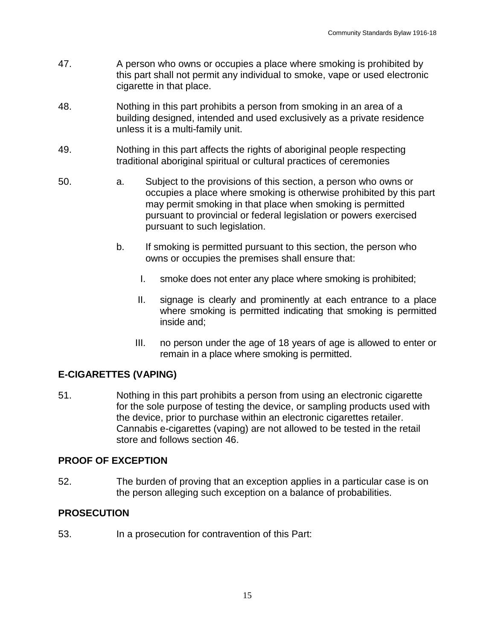- 47. A person who owns or occupies a place where smoking is prohibited by this part shall not permit any individual to smoke, vape or used electronic cigarette in that place.
- 48. Nothing in this part prohibits a person from smoking in an area of a building designed, intended and used exclusively as a private residence unless it is a multi-family unit.
- 49. Nothing in this part affects the rights of aboriginal people respecting traditional aboriginal spiritual or cultural practices of ceremonies
- 50. a. Subject to the provisions of this section, a person who owns or occupies a place where smoking is otherwise prohibited by this part may permit smoking in that place when smoking is permitted pursuant to provincial or federal legislation or powers exercised pursuant to such legislation.
	- b. If smoking is permitted pursuant to this section, the person who owns or occupies the premises shall ensure that:
		- I. smoke does not enter any place where smoking is prohibited;
		- II. signage is clearly and prominently at each entrance to a place where smoking is permitted indicating that smoking is permitted inside and;
		- III. no person under the age of 18 years of age is allowed to enter or remain in a place where smoking is permitted.

## **E-CIGARETTES (VAPING)**

51. Nothing in this part prohibits a person from using an electronic cigarette for the sole purpose of testing the device, or sampling products used with the device, prior to purchase within an electronic cigarettes retailer. Cannabis e-cigarettes (vaping) are not allowed to be tested in the retail store and follows section 46.

## **PROOF OF EXCEPTION**

52. The burden of proving that an exception applies in a particular case is on the person alleging such exception on a balance of probabilities.

## **PROSECUTION**

53. In a prosecution for contravention of this Part: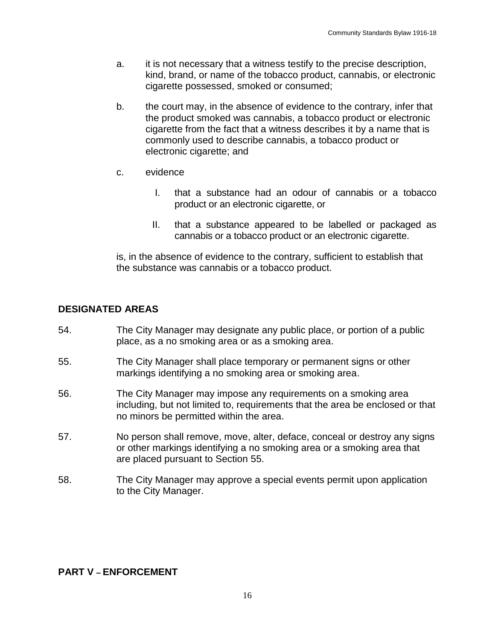- a. it is not necessary that a witness testify to the precise description, kind, brand, or name of the tobacco product, cannabis, or electronic cigarette possessed, smoked or consumed;
- b. the court may, in the absence of evidence to the contrary, infer that the product smoked was cannabis, a tobacco product or electronic cigarette from the fact that a witness describes it by a name that is commonly used to describe cannabis, a tobacco product or electronic cigarette; and
- c. evidence
	- I. that a substance had an odour of cannabis or a tobacco product or an electronic cigarette, or
	- II. that a substance appeared to be labelled or packaged as cannabis or a tobacco product or an electronic cigarette.

is, in the absence of evidence to the contrary, sufficient to establish that the substance was cannabis or a tobacco product.

## **DESIGNATED AREAS**

- 54. The City Manager may designate any public place, or portion of a public place, as a no smoking area or as a smoking area.
- 55. The City Manager shall place temporary or permanent signs or other markings identifying a no smoking area or smoking area.
- 56. The City Manager may impose any requirements on a smoking area including, but not limited to, requirements that the area be enclosed or that no minors be permitted within the area.
- 57. No person shall remove, move, alter, deface, conceal or destroy any signs or other markings identifying a no smoking area or a smoking area that are placed pursuant to Section 55.
- 58. The City Manager may approve a special events permit upon application to the City Manager.

#### **PART V – ENFORCEMENT**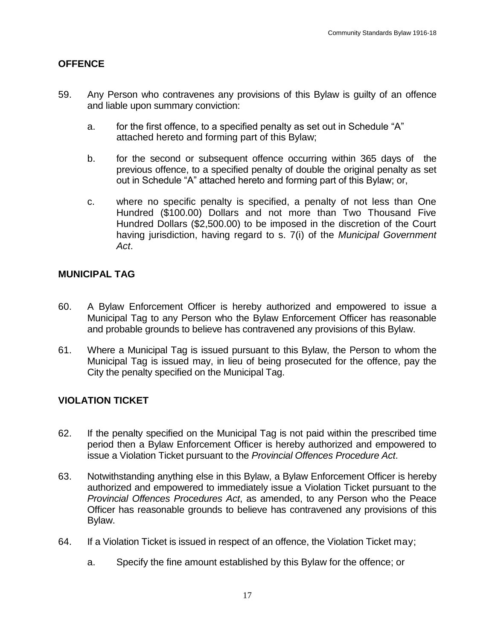### **OFFENCE**

- 59. Any Person who contravenes any provisions of this Bylaw is guilty of an offence and liable upon summary conviction:
	- a. for the first offence, to a specified penalty as set out in Schedule "A" attached hereto and forming part of this Bylaw;
	- b. for the second or subsequent offence occurring within 365 days of the previous offence, to a specified penalty of double the original penalty as set out in Schedule "A" attached hereto and forming part of this Bylaw; or,
	- c. where no specific penalty is specified, a penalty of not less than One Hundred (\$100.00) Dollars and not more than Two Thousand Five Hundred Dollars (\$2,500.00) to be imposed in the discretion of the Court having jurisdiction, having regard to s. 7(i) of the *Municipal Government Act*.

#### **MUNICIPAL TAG**

- 60. A Bylaw Enforcement Officer is hereby authorized and empowered to issue a Municipal Tag to any Person who the Bylaw Enforcement Officer has reasonable and probable grounds to believe has contravened any provisions of this Bylaw.
- 61. Where a Municipal Tag is issued pursuant to this Bylaw, the Person to whom the Municipal Tag is issued may, in lieu of being prosecuted for the offence, pay the City the penalty specified on the Municipal Tag.

## **VIOLATION TICKET**

- 62. If the penalty specified on the Municipal Tag is not paid within the prescribed time period then a Bylaw Enforcement Officer is hereby authorized and empowered to issue a Violation Ticket pursuant to the *Provincial Offences Procedure Act*.
- 63. Notwithstanding anything else in this Bylaw, a Bylaw Enforcement Officer is hereby authorized and empowered to immediately issue a Violation Ticket pursuant to the *Provincial Offences Procedures Act*, as amended, to any Person who the Peace Officer has reasonable grounds to believe has contravened any provisions of this Bylaw.
- 64. If a Violation Ticket is issued in respect of an offence, the Violation Ticket may;
	- a. Specify the fine amount established by this Bylaw for the offence; or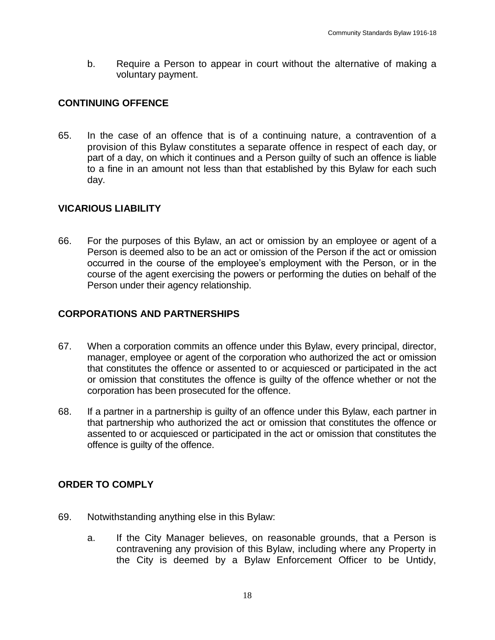b. Require a Person to appear in court without the alternative of making a voluntary payment.

## **CONTINUING OFFENCE**

65. In the case of an offence that is of a continuing nature, a contravention of a provision of this Bylaw constitutes a separate offence in respect of each day, or part of a day, on which it continues and a Person guilty of such an offence is liable to a fine in an amount not less than that established by this Bylaw for each such day.

## **VICARIOUS LIABILITY**

66. For the purposes of this Bylaw, an act or omission by an employee or agent of a Person is deemed also to be an act or omission of the Person if the act or omission occurred in the course of the employee's employment with the Person, or in the course of the agent exercising the powers or performing the duties on behalf of the Person under their agency relationship.

## **CORPORATIONS AND PARTNERSHIPS**

- 67. When a corporation commits an offence under this Bylaw, every principal, director, manager, employee or agent of the corporation who authorized the act or omission that constitutes the offence or assented to or acquiesced or participated in the act or omission that constitutes the offence is guilty of the offence whether or not the corporation has been prosecuted for the offence.
- 68. If a partner in a partnership is guilty of an offence under this Bylaw, each partner in that partnership who authorized the act or omission that constitutes the offence or assented to or acquiesced or participated in the act or omission that constitutes the offence is guilty of the offence.

## **ORDER TO COMPLY**

- 69. Notwithstanding anything else in this Bylaw:
	- a. If the City Manager believes, on reasonable grounds, that a Person is contravening any provision of this Bylaw, including where any Property in the City is deemed by a Bylaw Enforcement Officer to be Untidy,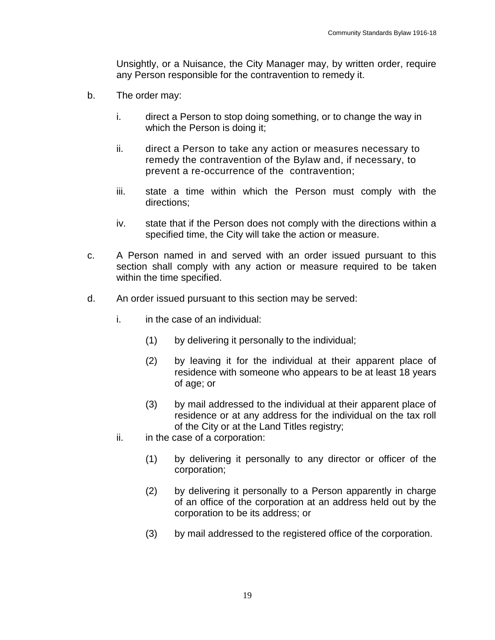Unsightly, or a Nuisance, the City Manager may, by written order, require any Person responsible for the contravention to remedy it.

- b. The order may:
	- i. direct a Person to stop doing something, or to change the way in which the Person is doing it;
	- ii. direct a Person to take any action or measures necessary to remedy the contravention of the Bylaw and, if necessary, to prevent a re-occurrence of the contravention;
	- iii. state a time within which the Person must comply with the directions;
	- iv. state that if the Person does not comply with the directions within a specified time, the City will take the action or measure.
- c. A Person named in and served with an order issued pursuant to this section shall comply with any action or measure required to be taken within the time specified.
- d. An order issued pursuant to this section may be served:
	- i. in the case of an individual:
		- (1) by delivering it personally to the individual;
		- (2) by leaving it for the individual at their apparent place of residence with someone who appears to be at least 18 years of age; or
		- (3) by mail addressed to the individual at their apparent place of residence or at any address for the individual on the tax roll of the City or at the Land Titles registry;
	- ii. in the case of a corporation:
		- (1) by delivering it personally to any director or officer of the corporation;
		- (2) by delivering it personally to a Person apparently in charge of an office of the corporation at an address held out by the corporation to be its address; or
		- (3) by mail addressed to the registered office of the corporation.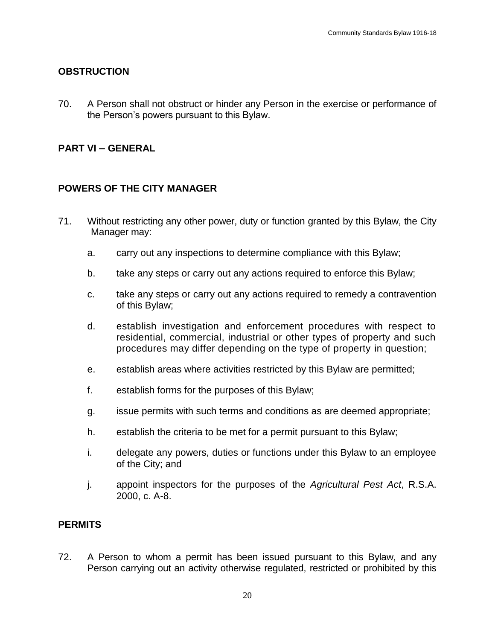#### **OBSTRUCTION**

70. A Person shall not obstruct or hinder any Person in the exercise or performance of the Person's powers pursuant to this Bylaw.

### **PART VI – GENERAL**

#### **POWERS OF THE CITY MANAGER**

- 71. Without restricting any other power, duty or function granted by this Bylaw, the City Manager may:
	- a. carry out any inspections to determine compliance with this Bylaw;
	- b. take any steps or carry out any actions required to enforce this Bylaw;
	- c. take any steps or carry out any actions required to remedy a contravention of this Bylaw;
	- d. establish investigation and enforcement procedures with respect to residential, commercial, industrial or other types of property and such procedures may differ depending on the type of property in question;
	- e. establish areas where activities restricted by this Bylaw are permitted;
	- f. establish forms for the purposes of this Bylaw;
	- g. issue permits with such terms and conditions as are deemed appropriate;
	- h. establish the criteria to be met for a permit pursuant to this Bylaw;
	- i. delegate any powers, duties or functions under this Bylaw to an employee of the City; and
	- j. appoint inspectors for the purposes of the *Agricultural Pest Act*, R.S.A. 2000, c. A-8.

#### **PERMITS**

72. A Person to whom a permit has been issued pursuant to this Bylaw, and any Person carrying out an activity otherwise regulated, restricted or prohibited by this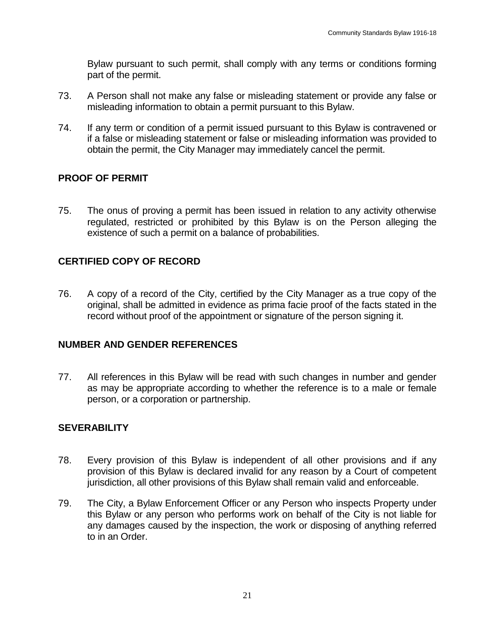Bylaw pursuant to such permit, shall comply with any terms or conditions forming part of the permit.

- 73. A Person shall not make any false or misleading statement or provide any false or misleading information to obtain a permit pursuant to this Bylaw.
- 74. If any term or condition of a permit issued pursuant to this Bylaw is contravened or if a false or misleading statement or false or misleading information was provided to obtain the permit, the City Manager may immediately cancel the permit.

# **PROOF OF PERMIT**

75. The onus of proving a permit has been issued in relation to any activity otherwise regulated, restricted or prohibited by this Bylaw is on the Person alleging the existence of such a permit on a balance of probabilities.

# **CERTIFIED COPY OF RECORD**

76. A copy of a record of the City, certified by the City Manager as a true copy of the original, shall be admitted in evidence as prima facie proof of the facts stated in the record without proof of the appointment or signature of the person signing it.

## **NUMBER AND GENDER REFERENCES**

77. All references in this Bylaw will be read with such changes in number and gender as may be appropriate according to whether the reference is to a male or female person, or a corporation or partnership.

## **SEVERABILITY**

- 78. Every provision of this Bylaw is independent of all other provisions and if any provision of this Bylaw is declared invalid for any reason by a Court of competent jurisdiction, all other provisions of this Bylaw shall remain valid and enforceable.
- 79. The City, a Bylaw Enforcement Officer or any Person who inspects Property under this Bylaw or any person who performs work on behalf of the City is not liable for any damages caused by the inspection, the work or disposing of anything referred to in an Order.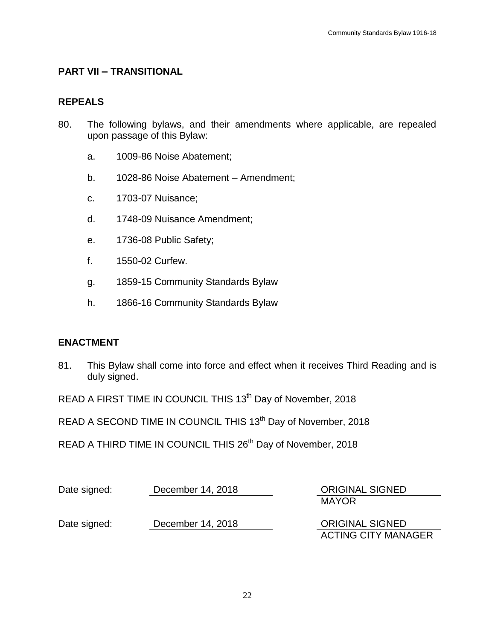#### **PART VII – TRANSITIONAL**

#### **REPEALS**

- 80. The following bylaws, and their amendments where applicable, are repealed upon passage of this Bylaw:
	- a. 1009-86 Noise Abatement;
	- b. 1028-86 Noise Abatement Amendment;
	- c. 1703-07 Nuisance;
	- d. 1748-09 Nuisance Amendment;
	- e. 1736-08 Public Safety;
	- f. 1550-02 Curfew.
	- g. 1859-15 Community Standards Bylaw
	- h. 1866-16 Community Standards Bylaw

#### **ENACTMENT**

81. This Bylaw shall come into force and effect when it receives Third Reading and is duly signed.

READ A FIRST TIME IN COUNCIL THIS 13<sup>th</sup> Day of November, 2018

READ A SECOND TIME IN COUNCIL THIS 13<sup>th</sup> Day of November, 2018

READ A THIRD TIME IN COUNCIL THIS 26<sup>th</sup> Day of November, 2018

| Date signed: | December 14, 2018 | <b>ORIGINAL SIGNED</b>     |
|--------------|-------------------|----------------------------|
|              |                   | <b>MAYOR</b>               |
| Date signed: | December 14, 2018 | <b>ORIGINAL SIGNED</b>     |
|              |                   | <b>ACTING CITY MANAGER</b> |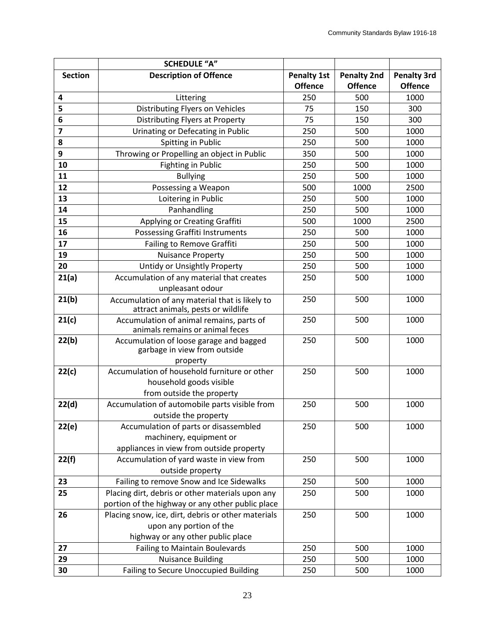|                         | <b>SCHEDULE "A"</b>                                                                  |                    |                    |                    |
|-------------------------|--------------------------------------------------------------------------------------|--------------------|--------------------|--------------------|
| <b>Section</b>          | <b>Description of Offence</b>                                                        | <b>Penalty 1st</b> | <b>Penalty 2nd</b> | <b>Penalty 3rd</b> |
|                         |                                                                                      | <b>Offence</b>     | <b>Offence</b>     | <b>Offence</b>     |
| 4                       | Littering                                                                            | 250                | 500                | 1000               |
| 5                       | Distributing Flyers on Vehicles                                                      | 75                 | 150                | 300                |
| 6                       | Distributing Flyers at Property                                                      | 75                 | 150                | 300                |
| $\overline{\mathbf{z}}$ | Urinating or Defecating in Public                                                    | 250                | 500                | 1000               |
| 8                       | Spitting in Public                                                                   | 250                | 500                | 1000               |
| 9                       | Throwing or Propelling an object in Public                                           | 350                | 500                | 1000               |
| 10                      | Fighting in Public                                                                   | 250                | 500                | 1000               |
| 11                      | <b>Bullying</b>                                                                      | 250                | 500                | 1000               |
| 12                      | Possessing a Weapon                                                                  | 500                | 1000               | 2500               |
| 13                      | Loitering in Public                                                                  | 250                | 500                | 1000               |
| 14                      | Panhandling                                                                          | 250                | 500                | 1000               |
| 15                      | Applying or Creating Graffiti                                                        | 500                | 1000               | 2500               |
| 16                      | Possessing Graffiti Instruments                                                      | 250                | 500                | 1000               |
| 17                      | Failing to Remove Graffiti                                                           | 250                | 500                | 1000               |
| 19                      | <b>Nuisance Property</b>                                                             | 250                | 500                | 1000               |
| 20                      | Untidy or Unsightly Property                                                         | 250                | 500                | 1000               |
| 21(a)                   | Accumulation of any material that creates                                            | 250                | 500                | 1000               |
|                         | unpleasant odour                                                                     |                    |                    |                    |
| 21(b)                   | Accumulation of any material that is likely to<br>attract animals, pests or wildlife | 250                | 500                | 1000               |
| 21(c)                   | Accumulation of animal remains, parts of<br>animals remains or animal feces          | 250                | 500                | 1000               |
| 22(b)                   | Accumulation of loose garage and bagged<br>garbage in view from outside              | 250                | 500                | 1000               |
|                         | property<br>Accumulation of household furniture or other                             | 250                | 500                | 1000               |
| 22(c)                   | household goods visible                                                              |                    |                    |                    |
|                         | from outside the property                                                            |                    |                    |                    |
| 22(d)                   | Accumulation of automobile parts visible from                                        | 250                | 500                | 1000               |
|                         | outside the property                                                                 |                    |                    |                    |
| 22(e)                   | Accumulation of parts or disassembled                                                | 250                | 500                | 1000               |
|                         | machinery, equipment or                                                              |                    |                    |                    |
|                         | appliances in view from outside property                                             |                    |                    |                    |
| 22(f)                   | Accumulation of yard waste in view from                                              | 250                | 500                | 1000               |
|                         | outside property                                                                     |                    |                    |                    |
| 23                      | Failing to remove Snow and Ice Sidewalks                                             | 250                | 500                | 1000               |
| 25                      | Placing dirt, debris or other materials upon any                                     | 250                | 500                | 1000               |
|                         | portion of the highway or any other public place                                     |                    |                    |                    |
| 26                      | Placing snow, ice, dirt, debris or other materials                                   | 250                | 500                | 1000               |
|                         | upon any portion of the                                                              |                    |                    |                    |
|                         | highway or any other public place                                                    |                    |                    |                    |
| 27                      | <b>Failing to Maintain Boulevards</b>                                                | 250                | 500                | 1000               |
| 29                      | <b>Nuisance Building</b>                                                             | 250                | 500                | 1000               |
| 30                      | <b>Failing to Secure Unoccupied Building</b>                                         | 250                | 500                | 1000               |